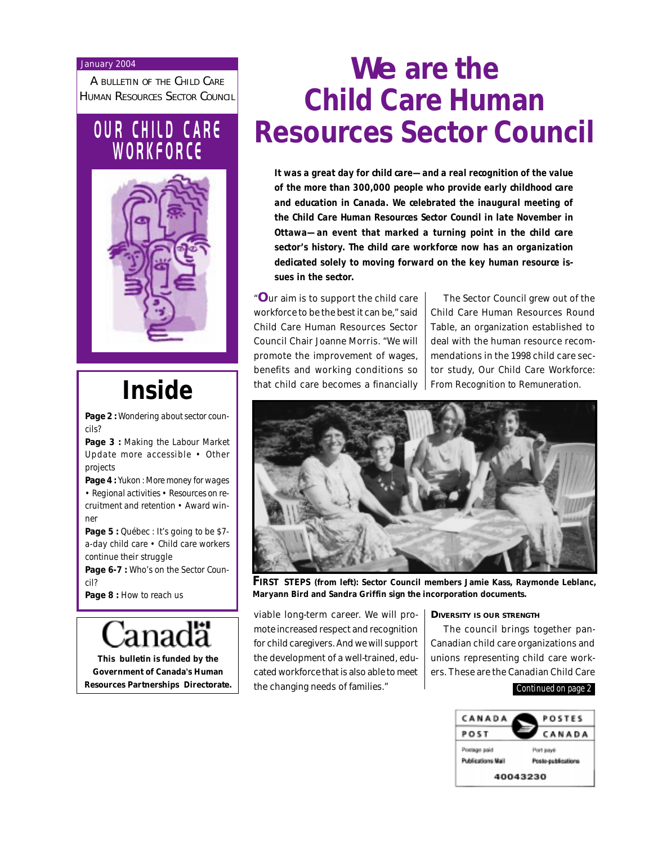#### January 2004

A BULLETIN OF THE CHILD CARE HUMAN RESOURCES SECTOR COUNCIL

### **OUR CHILD CARE W O R K F O R C E**



# **Inside**

**Page 2 :** Wondering about sector councils?

**Page 3 :** Making the Labour Market Update more accessible • Other projects

**Page 4 :** Yukon : More money for wages • Regional activities • Resources on recruitment and retention • Award winner

Page 5 : Québec : It's going to be \$7a-day child care • Child care workers continue their struggle

Page 6-7 : Who's on the Sector Council?

**Page 8 :** How to reach us

**This bulletin is funded by the Government of Canada's Human Resources Partnerships Directorate.**

# **We are the Child Care Human Resources Sector Council**

**It was a great day for child care—and a real recognition of the value of the more than 300,000 people who provide early childhood care and education in Canada. We celebrated the inaugural meeting of the Child Care Human Resources Sector Council in late November in Ottawa—an event that marked a turning point in the child care sector's history. The child care workforce now has an organization dedicated solely to moving forward on the key human resource issues in the sector.**

"**O**ur aim is to support the child care workforce to be the best it can be," said Child Care Human Resources Sector Council Chair Joanne Morris. "We will promote the improvement of wages, benefits and working conditions so that child care becomes a financially

The Sector Council grew out of the Child Care Human Resources Round Table, an organization established to deal with the human resource recommendations in the 1998 child care sector study, *Our Child Care Workforce: From Recognition to Remuneration*.



**FIRST STEPS (from left): Sector Council members Jamie Kass, Raymonde Leblanc, Maryann Bird and Sandra Griffin sign the incorporation documents.**

viable long-term career. We will promote increased respect and recognition for child caregivers. And we will support the development of a well-trained, educated workforce that is also able to meet the changing needs of families."

**DIVERSITY IS OUR STRENGTH**

The council brings together pan-Canadian child care organizations and unions representing child care workers. These are the Canadian Child Care

#### Continued on page 2

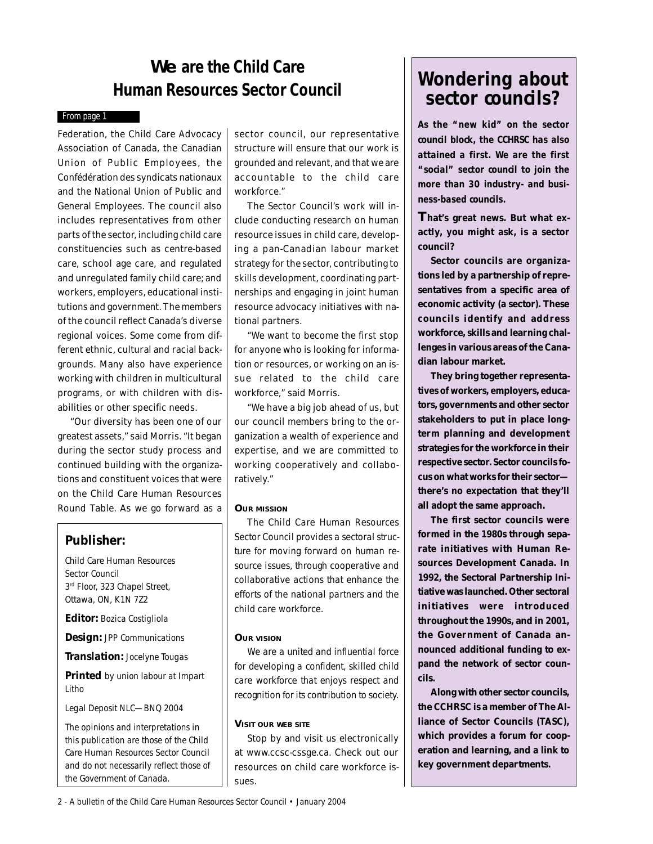### **We are the Child Care Human Resources Sector Council Wondering about**

#### From page 1

Federation, the Child Care Advocacy Association of Canada, the Canadian Union of Public Employees, the Confédération des syndicats nationaux and the National Union of Public and General Employees. The council also includes representatives from other parts of the sector, including child care constituencies such as centre-based care, school age care, and regulated and unregulated family child care; and workers, employers, educational institutions and government. The members of the council reflect Canada's diverse regional voices. Some come from different ethnic, cultural and racial backgrounds. Many also have experience working with children in multicultural programs, or with children with disabilities or other specific needs.

"Our diversity has been one of our greatest assets," said Morris. "It began during the sector study process and continued building with the organizations and constituent voices that were on the Child Care Human Resources Round Table. As we go forward as a

#### **Publisher:**

Child Care Human Resources Sector Council 3rd Floor, 323 Chapel Street, Ottawa, ON, K1N 7Z2

**Editor:** Bozica Costigliola

**Design:** JPP Communications

**Translation:** Jocelyne Tougas

**Printed** by union labour at Impart Litho

Legal Deposit NLC—BNQ 2004

The opinions and interpretations in this publication are those of the Child Care Human Resources Sector Council and do not necessarily reflect those of the Government of Canada.

sector council, our representative structure will ensure that our work is grounded and relevant, and that we are accountable to the child care workforce."

The Sector Council's work will include conducting research on human resource issues in child care, developing a pan-Canadian labour market strategy for the sector, contributing to skills development, coordinating partnerships and engaging in joint human resource advocacy initiatives with national partners.

"We want to become the first stop for anyone who is looking for information or resources, or working on an issue related to the child care workforce," said Morris.

"We have a big job ahead of us, but our council members bring to the organization a wealth of experience and expertise, and we are committed to working cooperatively and collaboratively."

#### **OUR MISSION**

*The Child Care Human Resources Sector Council provides a sectoral structure for moving forward on human resource issues, through cooperative and collaborative actions that enhance the efforts of the national partners and the child care workforce.*

#### **OUR VISION**

*We are a united and influential force for developing a confident, skilled child care workforce that enjoys respect and recognition for its contribution to society.*

#### **VISIT OUR WEB SITE**

Stop by and visit us electronically at www.ccsc-cssge.ca. Check out our resources on child care workforce issues.

#### 2 - A bulletin of the Child Care Human Resources Sector Council • January 2004

# **sector councils?**

**As the "new kid" on the sector council block, the CCHRSC has also attained a first. We are the first "social" sector council to join the more than 30 industry- and business-based councils.**

**That's great news. But what exactly, you might ask, is a sector council?**

**Sector councils are organizations led by a partnership of representatives from a specific area of economic activity (a sector). These councils identify and address workforce, skills and learning challenges in various areas of the Canadian labour market.**

**They bring together representatives of workers, employers, educators, governments and other sector stakeholders to put in place longterm planning and development strategies for the workforce in their respective sector. Sector councils focus on what works for their sector there's no expectation that they'll all adopt the same approach.**

**The first sector councils were formed in the 1980s through separate initiatives with Human Resources Development Canada. In 1992, the Sectoral Partnership Initiative was launched. Other sectoral initiatives were introduced throughout the 1990s, and in 2001, the Government of Canada announced additional funding to expand the network of sector councils.**

**Along with other sector councils, the CCHRSC is a member of The Alliance of Sector Councils (TASC), which provides a forum for cooperation and learning, and a link to key government departments.**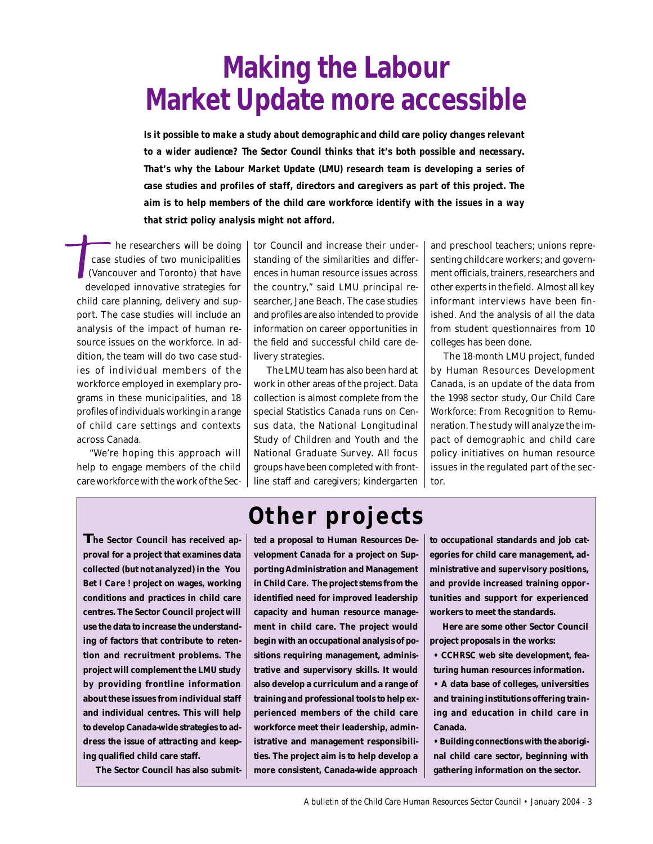# **Making the Labour Market Update more accessible**

**Is it possible to make a study about demographic and child care policy changes relevant to a wider audience? The Sector Council thinks that it's both possible and necessary. That's why the Labour Market Update (LMU) research team is developing a series of case studies and profiles of staff, directors and caregivers as part of this project. The aim is to help members of the child care workforce identify with the issues in a way that strict policy analysis might not afford.**

he researchers will be doing case studies of two municipalities (Vancouver and Toronto) that have developed innovative strategies for child care planning, delivery and support. The case studies will include an analysis of the impact of human resource issues on the workforce. In addition, the team will do two case studies of individual members of the workforce employed in exemplary programs in these municipalities, and 18 profiles of individuals working in a range of child care settings and contexts across Canada.

"We're hoping this approach will help to engage members of the child care workforce with the work of the Sector Council and increase their understanding of the similarities and differences in human resource issues across the country," said LMU principal researcher, Jane Beach. The case studies and profiles are also intended to provide information on career opportunities in the field and successful child care delivery strategies.

The LMU team has also been hard at work in other areas of the project. Data collection is almost complete from the special Statistics Canada runs on Census data, the National Longitudinal Study of Children and Youth and the National Graduate Survey. All focus groups have been completed with frontline staff and caregivers; kindergarten and preschool teachers; unions representing childcare workers; and government officials, trainers, researchers and other experts in the field. Almost all key informant interviews have been finished. And the analysis of all the data from student questionnaires from 10 colleges has been done.

The 18-month LMU project, funded by Human Resources Development Canada, is an update of the data from the 1998 sector study, *Our Child Care Workforce: From Recognition to Remuneration*. The study will analyze the impact of demographic and child care policy initiatives on human resource issues in the regulated part of the sector.

**The Sector Council has received approval for a project that examines data collected (but not analyzed) in the** *You Bet I Care !* **project on wages, working conditions and practices in child care centres. The Sector Council project will use the data to increase the understanding of factors that contribute to retention and recruitment problems. The project will complement the LMU study by providing frontline information about these issues from individual staff and individual centres. This will help to develop Canada-wide strategies to address the issue of attracting and keeping qualified child care staff.**

**The Sector Council has also submit-**

### **Other projects**

**ted a proposal to Human Resources Development Canada for a project on Supporting Administration and Management in Child Care. The project stems from the identified need for improved leadership capacity and human resource management in child care. The project would begin with an occupational analysis of positions requiring management, administrative and supervisory skills. It would also develop a curriculum and a range of training and professional tools to help experienced members of the child care workforce meet their leadership, administrative and management responsibilities. The project aim is to help develop a more consistent, Canada-wide approach**

**to occupational standards and job categories for child care management, administrative and supervisory positions, and provide increased training opportunities and support for experienced workers to meet the standards.**

**Here are some other Sector Council project proposals in the works:**

**• CCHRSC web site development, featuring human resources information.**

**• A data base of colleges, universities and training institutions offering training and education in child care in Canada.**

**• Building connections with the aboriginal child care sector, beginning with gathering information on the sector.**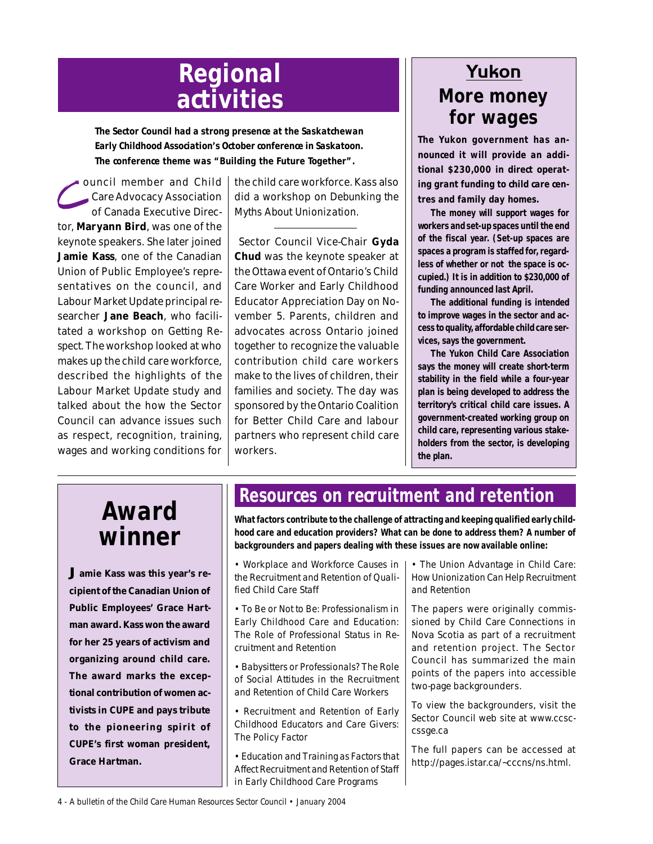### **Regional activities**

**The Sector Council had a strong presence at the Saskatchewan Early Childhood Association's October conference in Saskatoon. The conference theme was "Building the Future Together".**

ouncil member and Child Care Advocacy Association of Canada Executive Director, **Maryann Bird**, was one of the keynote speakers. She later joined **Jamie Kass**, one of the Canadian Union of Public Employee's representatives on the council, and Labour Market Update principal researcher **Jane Beach**, who facilitated a workshop on *Getting Respect*. The workshop looked at who makes up the child care workforce, described the highlights of the Labour Market Update study and talked about the how the Sector Council can advance issues such as respect, recognition, training, wages and working conditions for the child care workforce. Kass also did a workshop on *Debunking the Myths About Unionization*.

 Sector Council Vice-Chair **Gyda Chud** was the keynote speaker at the Ottawa event of Ontario's Child Care Worker and Early Childhood Educator Appreciation Day on November 5. Parents, children and advocates across Ontario joined together to recognize the valuable contribution child care workers make to the lives of children, their families and society. The day was sponsored by the Ontario Coalition for Better Child Care and labour partners who represent child care workers.

### **Yukon More money for wages**

**The Yukon government has announced it will provide an additional \$230,000 in direct operating grant funding to child care centres and family day homes.**

**The money will support wages for workers and set-up spaces until the end of the fiscal year. (Set-up spaces are spaces a program is staffed for, regardless of whether or not the space is occupied.) It is in addition to \$230,000 of funding announced last April.**

**The additional funding is intended to improve wages in the sector and access to quality, affordable child care services, says the government.**

**The Yukon Child Care Association says the money will create short-term stability in the field while a four-year plan is being developed to address the territory's critical child care issues. A government-created working group on child care, representing various stakeholders from the sector, is developing the plan.**

## **Award winner**

**Jamie Kass was this year's recipient of the Canadian Union of Public Employees' Grace Hartman award. Kass won the award for her 25 years of activism and organizing around child care. The award marks the exceptional contribution of women activists in CUPE and pays tribute to the pioneering spirit of CUPE's first woman president, Grace Hartman.**

### **Resources on recruitment and retention**

**What factors contribute to the challenge of attracting and keeping qualified early childhood care and education providers? What can be done to address them? A number of backgrounders and papers dealing with these issues are now available online:**

*• Workplace and Workforce Causes in the Recruitment and Retention of Qualified Child Care Staff*

*• To Be or Not to Be: Professionalism in Early Childhood Care and Education: The Role of Professional Status in Recruitment and Retention*

*• Babysitters or Professionals? The Role of Social Attitudes in the Recruitment and Retention of Child Care Workers*

*• Recruitment and Retention of Early Childhood Educators and Care Givers: The Policy Factor*

*• Education and Training as Factors that Affect Recruitment and Retention of Staff in Early Childhood Care Programs*

*• The Union Advantage in Child Care: How Unionization Can Help Recruitment and Retention*

The papers were originally commissioned by Child Care Connections in Nova Scotia as part of a recruitment and retention project. The Sector Council has summarized the main points of the papers into accessible two-page backgrounders.

To view the backgrounders, visit the Sector Council web site at www.ccsccssge.ca

The full papers can be accessed at http://pages.istar.ca/~cccns/ns.html.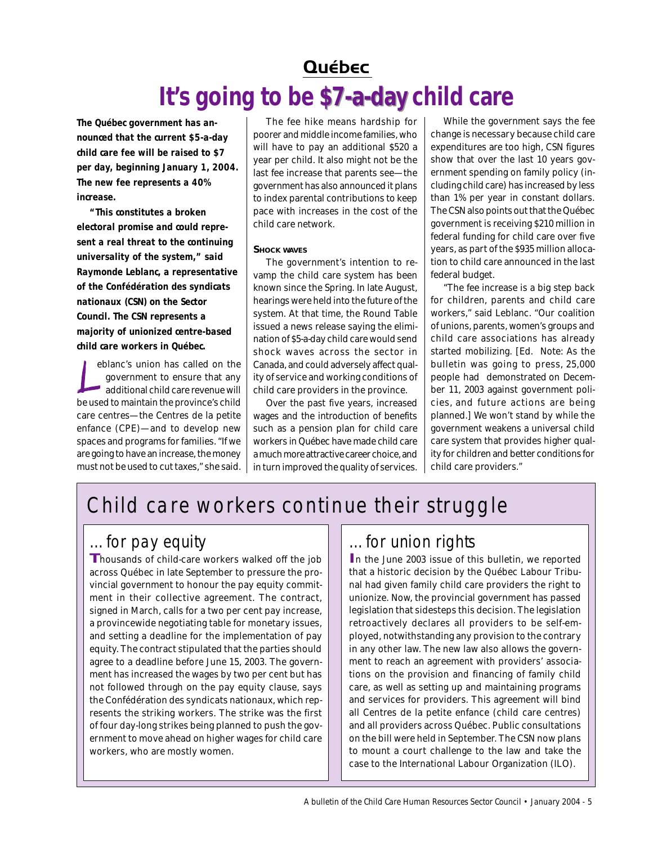# **\$7-a-day It's going to be \$7-a-day child care Québec**

**The Québec government has announced that the current \$5-a-day child care fee will be raised to \$7 per day, beginning January 1, 2004. The new fee represents a 40% increase.**

**"This constitutes a broken electoral promise and could represent a real threat to the continuing universality of the system," said Raymonde Leblanc, a representative of the Confédération des syndicats nationaux (CSN) on the Sector Council. The CSN represents a majority of unionized centre-based child care workers in Québec.**

eblanc's union has called on the government to ensure that any additional child care revenue will be used to maintain the province's child care centres—the Centres de la petite enfance (CPE)—and to develop new spaces and programs for families. "If we are going to have an increase, the money must not be used to cut taxes," she said.

The fee hike means hardship for poorer and middle income families, who will have to pay an additional \$520 a year per child. It also might not be the last fee increase that parents see—the government has also announced it plans to index parental contributions to keep pace with increases in the cost of the child care network.

#### **SHOCK WAVES**

The government's intention to revamp the child care system has been known since the Spring. In late August, hearings were held into the future of the system. At that time, the Round Table issued a news release saying the elimination of \$5-a-day child care would send shock waves across the sector in Canada, and could adversely affect quality of service and working conditions of child care providers in the province.

Over the past five years, increased wages and the introduction of benefits such as a pension plan for child care workers in Québec have made child care a much more attractive career choice, and in turn improved the quality of services.

While the government says the fee change is necessary because child care expenditures are too high, CSN figures show that over the last 10 years government spending on family policy (including child care) has increased by less than 1% per year in constant dollars. The CSN also points out that the Québec government is receiving \$210 million in federal funding for child care over five years, as part of the \$935 million allocation to child care announced in the last federal budget.

"The fee increase is a big step back for children, parents and child care workers," said Leblanc. "Our coalition of unions, parents, women's groups and child care associations has already started mobilizing. [Ed. Note: As the bulletin was going to press, 25,000 people had demonstrated on December 11, 2003 against government policies, and future actions are being planned.] We won't stand by while the government weakens a universal child care system that provides higher quality for children and better conditions for child care providers."

### Child care workers continue their struggle

### …for pay equity

**T**housands of child-care workers walked off the job across Québec in late September to pressure the provincial government to honour the pay equity commitment in their collective agreement. The contract, signed in March, calls for a two per cent pay increase, a provincewide negotiating table for monetary issues, and setting a deadline for the implementation of pay equity. The contract stipulated that the parties should agree to a deadline before June 15, 2003. The government has increased the wages by two per cent but has not followed through on the pay equity clause, says the Confédération des syndicats nationaux, which represents the striking workers. The strike was the first of four day-long strikes being planned to push the government to move ahead on higher wages for child care workers, who are mostly women.

### …for union rights

**I**n the June 2003 issue of this bulletin, we reported that a historic decision by the Québec Labour Tribunal had given family child care providers the right to unionize. Now, the provincial government has passed legislation that sidesteps this decision. The legislation retroactively declares all providers to be self-employed, notwithstanding any provision to the contrary in any other law. The new law also allows the government to reach an agreement with providers' associations on the provision and financing of family child care, as well as setting up and maintaining programs and services for providers. This agreement will bind all Centres de la petite enfance (child care centres) and all providers across Québec. Public consultations on the bill were held in September. The CSN now plans to mount a court challenge to the law and take the case to the International Labour Organization (ILO).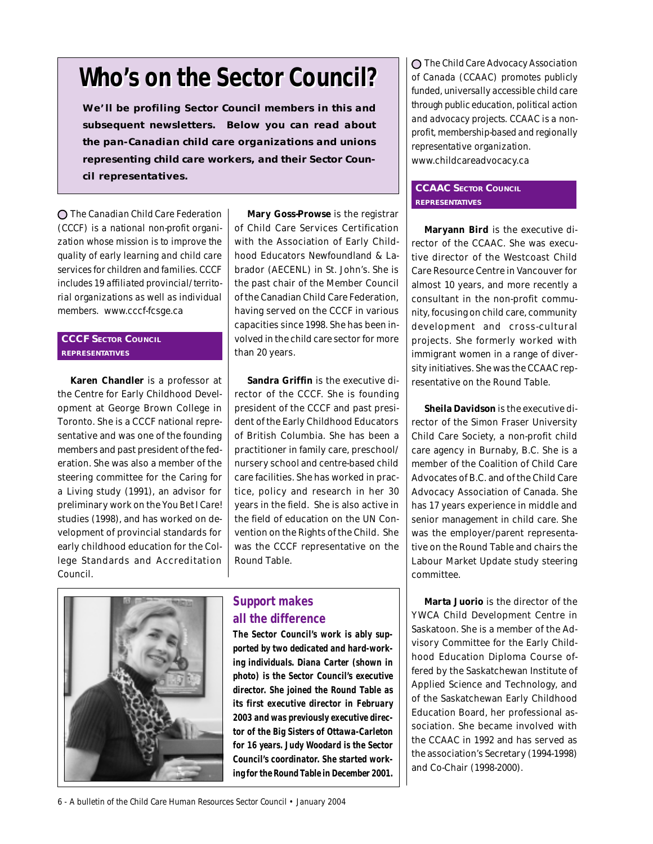### **Who's on the Sector Council? Who's on the Sector Council?**

**We'll be profiling Sector Council members in this and subsequent newsletters. Below you can read about the pan-Canadian child care organizations and unions representing child care workers, and their Sector Council representatives.**

*The Canadian Child Care Federation (CCCF) is a national non-profit organization whose mission is to improve the quality of early learning and child care services for children and families. CCCF includes 19 affiliated provincial/territorial organizations as well as individual members.* www.cccf-fcsge.ca

#### **CCCF SECTOR COUNCIL REPRESENTATIVES**

**Karen Chandler** is a professor at the Centre for Early Childhood Development at George Brown College in Toronto. She is a CCCF national representative and was one of the founding members and past president of the federation. She was also a member of the steering committee for the *Caring for a Living* study (1991), an advisor for preliminary work on the *You Bet I Care!* studies (1998), and has worked on development of provincial standards for early childhood education for the College Standards and Accreditation Council.

**Mary Goss-Prowse** is the registrar of Child Care Services Certification with the Association of Early Childhood Educators Newfoundland & Labrador (AECENL) in St. John's. She is the past chair of the Member Council of the Canadian Child Care Federation, having served on the CCCF in various capacities since 1998. She has been involved in the child care sector for more than 20 years.

**Sandra Griffin** is the executive director of the CCCF. She is founding president of the CCCF and past president of the Early Childhood Educators of British Columbia. She has been a practitioner in family care, preschool/ nursery school and centre-based child care facilities. She has worked in practice, policy and research in her 30 years in the field. She is also active in the field of education on the UN Convention on the Rights of the Child. She was the CCCF representative on the Round Table.



### **Support makes all the difference**

*The Sector Council's work is ably supported by two dedicated and hard-working individuals. Diana Carter (shown in photo) is the Sector Council's executive director. She joined the Round Table as its first executive director in February 2003 and was previously executive director of the Big Sisters of Ottawa-Carleton for 16 years. Judy Woodard is the Sector Council's coordinator. She started working for the Round Table in December 2001.*

*The Child Care Advocacy Association of Canada (CCAAC) promotes publicly funded, universally accessible child care through public education, political action and advocacy projects. CCAAC is a nonprofit, membership-based and regionally representative organization.* www.childcareadvocacy.ca

#### **CCAAC SECTOR COUNCIL REPRESENTATIVES**

**Maryann Bird** is the executive director of the CCAAC. She was executive director of the Westcoast Child Care Resource Centre in Vancouver for almost 10 years, and more recently a consultant in the non-profit community, focusing on child care, community development and cross-cultural projects. She formerly worked with immigrant women in a range of diversity initiatives. She was the CCAAC representative on the Round Table.

**Sheila Davidson** is the executive director of the Simon Fraser University Child Care Society, a non-profit child care agency in Burnaby, B.C. She is a member of the Coalition of Child Care Advocates of B.C. and of the Child Care Advocacy Association of Canada. She has 17 years experience in middle and senior management in child care. She was the employer/parent representative on the Round Table and chairs the Labour Market Update study steering committee.

**Marta Juorio** is the director of the YWCA Child Development Centre in Saskatoon. She is a member of the Advisory Committee for the Early Childhood Education Diploma Course offered by the Saskatchewan Institute of Applied Science and Technology, and of the Saskatchewan Early Childhood Education Board, her professional association. She became involved with the CCAAC in 1992 and has served as the association's Secretary (1994-1998) and Co-Chair (1998-2000).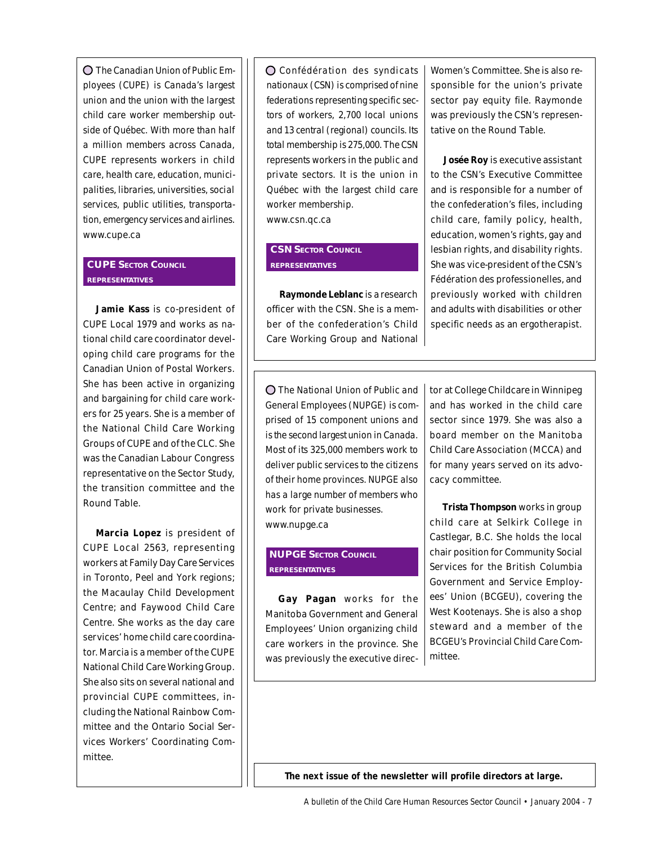*The Canadian Union of Public Employees (CUPE) is Canada's largest union and the union with the largest child care worker membership outside of Québec. With more than half a million members across Canada, CUPE represents workers in child care, health care, education, municipalities, libraries, universities, social services, public utilities, transportation, emergency services and airlines.* www.cupe.ca

#### **CUPE SECTOR COUNCIL REPRESENTATIVES**

**Jamie Kass** is co-president of CUPE Local 1979 and works as national child care coordinator developing child care programs for the Canadian Union of Postal Workers. She has been active in organizing and bargaining for child care workers for 25 years. She is a member of the National Child Care Working Groups of CUPE and of the CLC. She was the Canadian Labour Congress representative on the Sector Study, the transition committee and the Round Table.

**Marcia Lopez** is president of CUPE Local 2563, representing workers at Family Day Care Services in Toronto, Peel and York regions; the Macaulay Child Development Centre; and Faywood Child Care Centre. She works as the day care services' home child care coordinator. Marcia is a member of the CUPE National Child Care Working Group. She also sits on several national and provincial CUPE committees, including the National Rainbow Committee and the Ontario Social Services Workers' Coordinating Committee.

*Confédération des syndicats nationaux (CSN) is comprised of nine federations representing specific sectors of workers, 2,700 local unions and 13 central (regional) councils. Its total membership is 275,000. The CSN represents workers in the public and private sectors. It is the union in Québec with the largest child care worker membership.* www.csn.qc.ca

#### **CSN SECTOR COUNCIL REPRESENTATIVES**

**Raymonde Leblanc** is a research officer with the CSN. She is a member of the confederation's Child Care Working Group and National Women's Committee. She is also responsible for the union's private sector pay equity file. Raymonde was previously the CSN's representative on the Round Table.

**Josée Roy** is executive assistant to the CSN's Executive Committee and is responsible for a number of the confederation's files, including child care, family policy, health, education, women's rights, gay and lesbian rights, and disability rights. She was vice-president of the CSN's Fédération des professionelles, and previously worked with children and adults with disabilities or other specific needs as an ergotherapist.

*The National Union of Public and General Employees (NUPGE) is comprised of 15 component unions and is the second largest union in Canada. Most of its 325,000 members work to deliver public services to the citizens of their home provinces. NUPGE also has a large number of members who work for private businesses.* www.nupge.ca

#### **NUPGE SECTOR COUNCIL REPRESENTATIVES**

**Gay Pagan** works for the Manitoba Government and General Employees' Union organizing child care workers in the province. She was previously the executive director at College Childcare in Winnipeg and has worked in the child care sector since 1979. She was also a board member on the Manitoba Child Care Association (MCCA) and for many years served on its advocacy committee.

**Trista Thompson** works in group child care at Selkirk College in Castlegar, B.C. She holds the local chair position for Community Social Services for the British Columbia Government and Service Employees' Union (BCGEU), covering the West Kootenays. She is also a shop steward and a member of the BCGEU's Provincial Child Care Committee.

**The next issue of the newsletter will profile directors at large.**